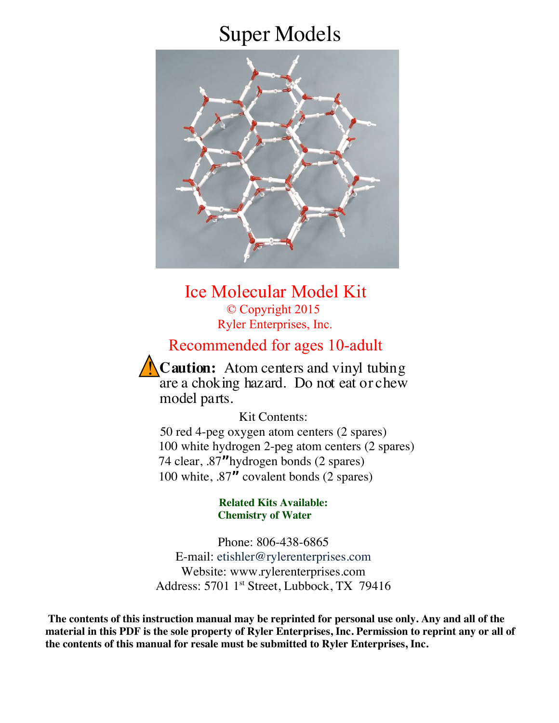# Super Models



Ice Molecular Model Kit © Copyright 2015 Ryler Enterprises, Inc.

## Recommended for ages 10-adult

**Caution:** Atom centers and vinyl tubing are a choking hazard. Do not eat or chew model parts.

Kit Contents: 50 red 4-peg oxygen atom centers (2 spares) 100 white hydrogen 2-peg atom centers (2 spares) 74 clear, .87**"**hydrogen bonds (2 spares) 100 white, .87**"** covalent bonds (2 spares)

> **Related Kits Available: Chemistry of Water**

Phone: 806-438-6865 E-mail: etishler@rylerenterprises.com Website: www.rylerenterprises.com Address: 5701 1<sup>st</sup> Street, Lubbock, TX 79416

**The contents of this instruction manual may be reprinted for personal use only. Any and all of the material in this PDF is the sole property of Ryler Enterprises, Inc. Permission to reprint any or all of the contents of this manual for resale must be submitted to Ryler Enterprises, Inc.**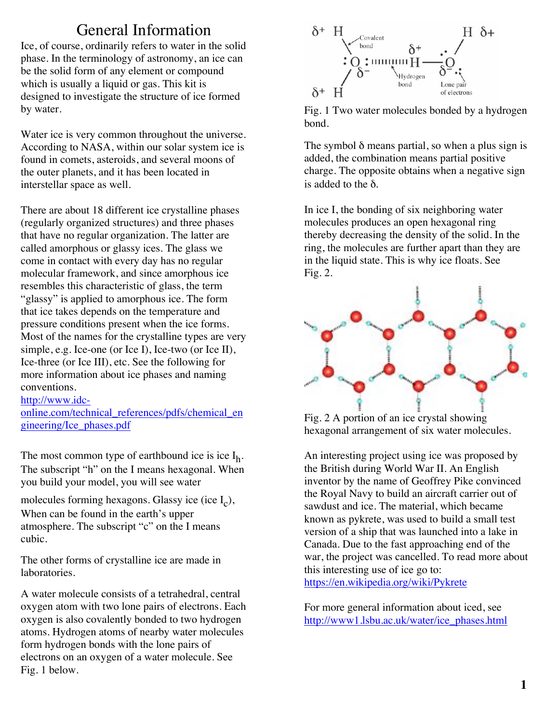## General Information

Ice, of course, ordinarily refers to water in the solid phase. In the terminology of astronomy, an ice can be the solid form of any element or compound which is usually a liquid or gas. This kit is designed to investigate the structure of ice formed by water.

Water ice is very common throughout the universe. According to NASA, within our solar system ice is found in comets, asteroids, and several moons of the outer planets, and it has been located in interstellar space as well.

There are about 18 different ice crystalline phases (regularly organized structures) and three phases that have no regular organization. The latter are called amorphous or glassy ices. The glass we come in contact with every day has no regular molecular framework, and since amorphous ice resembles this characteristic of glass, the term "glassy" is applied to amorphous ice. The form that ice takes depends on the temperature and pressure conditions present when the ice forms. Most of the names for the crystalline types are very simple, e.g. Ice-one (or Ice I), Ice-two (or Ice II), Ice-three (or Ice III), etc. See the following for more information about ice phases and naming conventions.

http://www.idc-

online.com/technical\_references/pdfs/chemical\_en gineering/Ice\_phases.pdf

The most common type of earthbound ice is ice  $I_h$ . The subscript "h" on the I means hexagonal. When you build your model, you will see water

molecules forming hexagons. Glassy ice (ice  $I_c$ ), When can be found in the earth's upper atmosphere. The subscript "c" on the I means cubic.

The other forms of crystalline ice are made in laboratories.

A water molecule consists of a tetrahedral, central oxygen atom with two lone pairs of electrons. Each oxygen is also covalently bonded to two hydrogen atoms. Hydrogen atoms of nearby water molecules form hydrogen bonds with the lone pairs of electrons on an oxygen of a water molecule. See Fig. 1 below.



Fig. 1 Two water molecules bonded by a hydrogen bond.

The symbol  $\delta$  means partial, so when a plus sign is added, the combination means partial positive charge. The opposite obtains when a negative sign is added to the δ.

In ice I, the bonding of six neighboring water molecules produces an open hexagonal ring thereby decreasing the density of the solid. In the ring, the molecules are further apart than they are in the liquid state. This is why ice floats. See Fig. 2.



Fig. 2 A portion of an ice crystal showing hexagonal arrangement of six water molecules.

An interesting project using ice was proposed by the British during World War II. An English inventor by the name of Geoffrey Pike convinced the Royal Navy to build an aircraft carrier out of sawdust and ice. The material, which became known as pykrete, was used to build a small test version of a ship that was launched into a lake in Canada. Due to the fast approaching end of the war, the project was cancelled. To read more about this interesting use of ice go to: https://en.wikipedia.org/wiki/Pykrete

For more general information about iced, see http://www1.lsbu.ac.uk/water/ice\_phases.html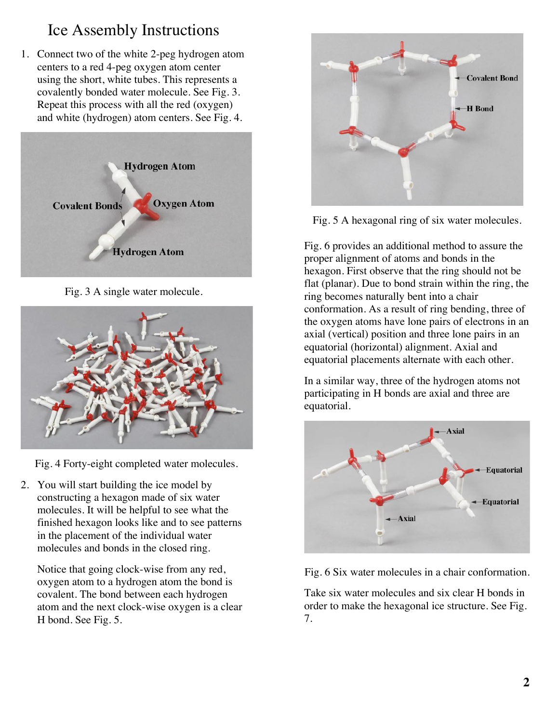## Ice Assembly Instructions

1. Connect two of the white 2-peg hydrogen atom centers to a red 4-peg oxygen atom center using the short, white tubes. This represents a covalently bonded water molecule. See Fig. 3. Repeat this process with all the red (oxygen) and white (hydrogen) atom centers. See Fig. 4.



Fig. 3 A single water molecule.



Fig. 4 Forty-eight completed water molecules.

2. You will start building the ice model by constructing a hexagon made of six water molecules. It will be helpful to see what the finished hexagon looks like and to see patterns in the placement of the individual water molecules and bonds in the closed ring.

Notice that going clock-wise from any red, oxygen atom to a hydrogen atom the bond is covalent. The bond between each hydrogen atom and the next clock-wise oxygen is a clear H bond. See Fig. 5.



Fig. 5 A hexagonal ring of six water molecules.

Fig. 6 provides an additional method to assure the proper alignment of atoms and bonds in the hexagon. First observe that the ring should not be flat (planar). Due to bond strain within the ring, the ring becomes naturally bent into a chair conformation. As a result of ring bending, three of the oxygen atoms have lone pairs of electrons in an axial (vertical) position and three lone pairs in an equatorial (horizontal) alignment. Axial and equatorial placements alternate with each other.

In a similar way, three of the hydrogen atoms not participating in H bonds are axial and three are equatorial.



Fig. 6 Six water molecules in a chair conformation.

Take six water molecules and six clear H bonds in order to make the hexagonal ice structure. See Fig. 7.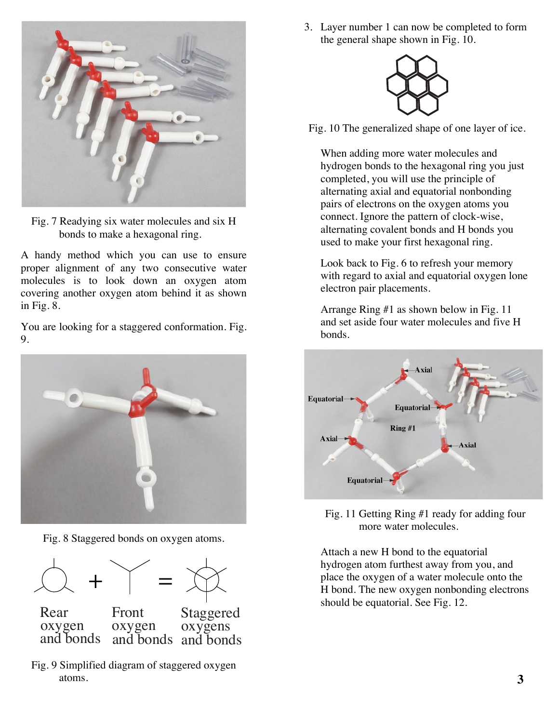

Fig. 7 Readying six water molecules and six H bonds to make a hexagonal ring.

A handy method which you can use to ensure proper alignment of any two consecutive water molecules is to look down an oxygen atom covering another oxygen atom behind it as shown in Fig. 8.

You are looking for a staggered conformation. Fig. 9.



Fig. 8 Staggered bonds on oxygen atoms.



Fig. 9 Simplified diagram of staggered oxygen atoms.

3. Layer number 1 can now be completed to form the general shape shown in Fig. 10.



Fig. 10 The generalized shape of one layer of ice.

When adding more water molecules and hydrogen bonds to the hexagonal ring you just completed, you will use the principle of alternating axial and equatorial nonbonding pairs of electrons on the oxygen atoms you connect. Ignore the pattern of clock-wise, alternating covalent bonds and H bonds you used to make your first hexagonal ring.

Look back to Fig. 6 to refresh your memory with regard to axial and equatorial oxygen lone electron pair placements.

Arrange Ring #1 as shown below in Fig. 11 and set aside four water molecules and five H bonds.



Fig. 11 Getting Ring #1 ready for adding four more water molecules.

Attach a new H bond to the equatorial hydrogen atom furthest away from you, and place the oxygen of a water molecule onto the H bond. The new oxygen nonbonding electrons should be equatorial. See Fig. 12.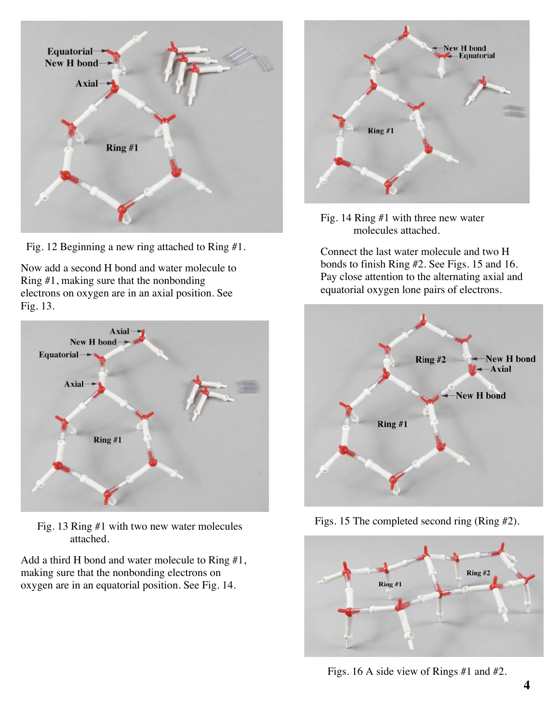

Fig. 12 Beginning a new ring attached to Ring #1.

Now add a second H bond and water molecule to Ring #1, making sure that the nonbonding electrons on oxygen are in an axial position. See Fig. 13.



Fig. 13 Ring #1 with two new water molecules attached.

Add a third H bond and water molecule to Ring #1, making sure that the nonbonding electrons on oxygen are in an equatorial position. See Fig. 14.



Fig. 14 Ring #1 with three new water molecules attached.

Connect the last water molecule and two H bonds to finish Ring #2. See Figs. 15 and 16. Pay close attention to the alternating axial and equatorial oxygen lone pairs of electrons.



Figs. 15 The completed second ring (Ring #2).



Figs. 16 A side view of Rings #1 and #2.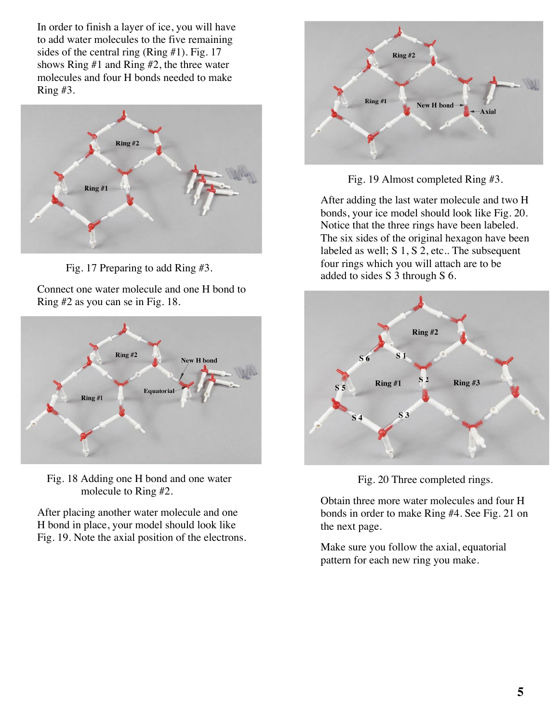In order to finish a layer of ice, you will have to add water molecules to the five remaining sides of the central ring (Ring #1). Fig. 17 shows Ring #1 and Ring #2, the three water molecules and four H bonds needed to make Ring #3.



Fig. 17 Preparing to add Ring #3.

Connect one water molecule and one H bond to Ring #2 as you can se in Fig. 18.



 Fig. 18 Adding one H bond and one water molecule to Ring #2.

After placing another water molecule and one H bond in place, your model should look like Fig. 19. Note the axial position of the electrons.



Fig. 19 Almost completed Ring #3.

After adding the last water molecule and two H bonds, your ice model should look like Fig. 20. Notice that the three rings have been labeled. The six sides of the original hexagon have been labeled as well; S 1, S 2, etc.. The subsequent four rings which you will attach are to be added to sides S 3 through S 6.



Fig. 20 Three completed rings.

Obtain three more water molecules and four H bonds in order to make Ring #4. See Fig. 21 on the next page.

Make sure you follow the axial, equatorial pattern for each new ring you make.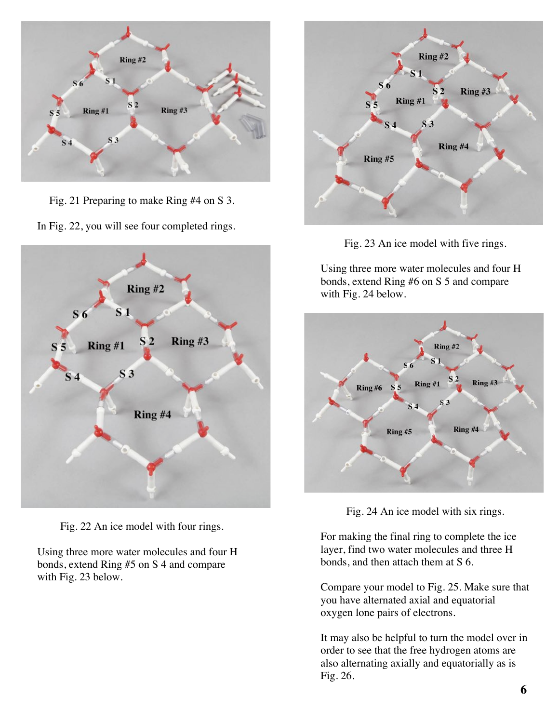

Fig. 21 Preparing to make Ring #4 on S 3.

In Fig. 22, you will see four completed rings.



Fig. 22 An ice model with four rings.

Using three more water molecules and four H bonds, extend Ring #5 on S 4 and compare with Fig. 23 below.



Fig. 23 An ice model with five rings.

Using three more water molecules and four H bonds, extend Ring #6 on S 5 and compare with Fig. 24 below.



Fig. 24 An ice model with six rings.

For making the final ring to complete the ice layer, find two water molecules and three H bonds, and then attach them at S 6.

Compare your model to Fig. 25. Make sure that you have alternated axial and equatorial oxygen lone pairs of electrons.

It may also be helpful to turn the model over in order to see that the free hydrogen atoms are also alternating axially and equatorially as is Fig. 26.